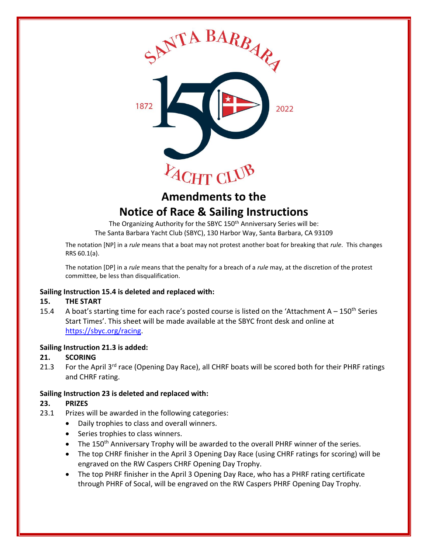

# **Amendments to the Notice of Race & Sailing Instructions**

The Organizing Authority for the SBYC 150<sup>th</sup> Anniversary Series will be: The Santa Barbara Yacht Club (SBYC), 130 Harbor Way, Santa Barbara, CA 93109

The notation [NP] in a *rule* means that a boat may not protest another boat for breaking that *rule*. This changes RRS 60.1(a).

The notation [DP] in a *rule* means that the penalty for a breach of a *rule* may, at the discretion of the protest committee, be less than disqualification.

#### **Sailing Instruction 15.4 is deleted and replaced with:**

## **15. THE START**

15.4 A boat's starting time for each race's posted course is listed on the 'Attachment  $A - 150$ <sup>th</sup> Series Start Times'. This sheet will be made available at the SBYC front desk and online at [https://sbyc.org/racing.](https://sbyc.org/racing)

#### **Sailing Instruction 21.3 is added:**

## **21. SCORING**

21.3 For the April 3<sup>rd</sup> race (Opening Day Race), all CHRF boats will be scored both for their PHRF ratings and CHRF rating.

#### **Sailing Instruction 23 is deleted and replaced with:**

## **23. PRIZES**

- 23.1 Prizes will be awarded in the following categories:
	- Daily trophies to class and overall winners.
	- Series trophies to class winners.
	- The 150<sup>th</sup> Anniversary Trophy will be awarded to the overall PHRF winner of the series.
	- The top CHRF finisher in the April 3 Opening Day Race (using CHRF ratings for scoring) will be engraved on the RW Caspers CHRF Opening Day Trophy.
	- The top PHRF finisher in the April 3 Opening Day Race, who has a PHRF rating certificate through PHRF of Socal, will be engraved on the RW Caspers PHRF Opening Day Trophy.